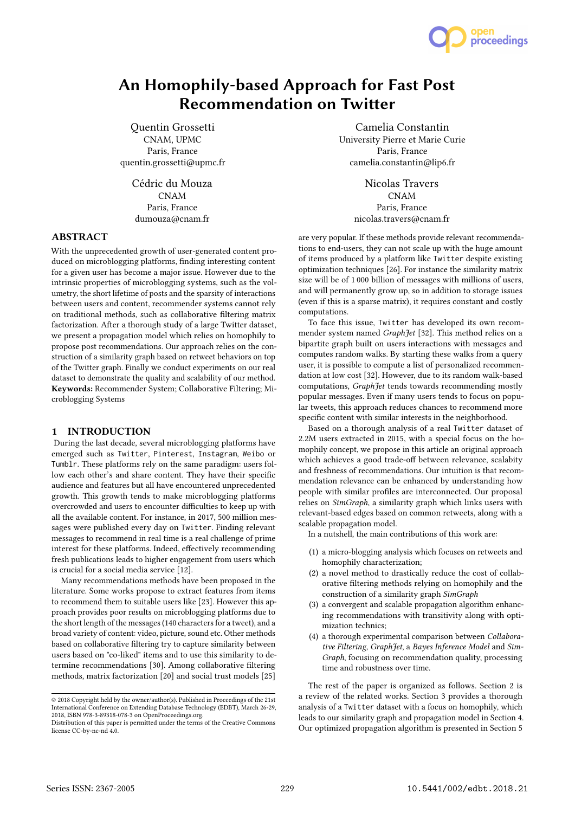

# An Homophily-based Approach for Fast Post Recommendation on Twitter

Quentin Grossetti CNAM, UPMC Paris, France quentin.grossetti@upmc.fr

> Cédric du Mouza CNAM Paris, France dumouza@cnam.fr

# ABSTRACT

With the unprecedented growth of user-generated content produced on microblogging platforms, finding interesting content for a given user has become a major issue. However due to the intrinsic properties of microblogging systems, such as the volumetry, the short lifetime of posts and the sparsity of interactions between users and content, recommender systems cannot rely on traditional methods, such as collaborative filtering matrix factorization. After a thorough study of a large Twitter dataset, we present a propagation model which relies on homophily to propose post recommendations. Our approach relies on the construction of a similarity graph based on retweet behaviors on top of the Twitter graph. Finally we conduct experiments on our real dataset to demonstrate the quality and scalability of our method. Keywords: Recommender System; Collaborative Filtering; Microblogging Systems

### 1 INTRODUCTION

During the last decade, several microblogging platforms have emerged such as Twitter, Pinterest, Instagram, Weibo or Tumblr. These platforms rely on the same paradigm: users follow each other's and share content. They have their specific audience and features but all have encountered unprecedented growth. This growth tends to make microblogging platforms overcrowded and users to encounter difficulties to keep up with all the available content. For instance, in 2017, 500 million messages were published every day on Twitter. Finding relevant messages to recommend in real time is a real challenge of prime interest for these platforms. Indeed, effectively recommending fresh publications leads to higher engagement from users which is crucial for a social media service [12].

Many recommendations methods have been proposed in the literature. Some works propose to extract features from items to recommend them to suitable users like [23]. However this approach provides poor results on microblogging platforms due to the short length of the messages (140 characters for a tweet), and a broad variety of content: video, picture, sound etc. Other methods based on collaborative filtering try to capture similarity between users based on "co-liked" items and to use this similarity to determine recommendations [30]. Among collaborative filtering methods, matrix factorization [20] and social trust models [25]

Camelia Constantin University Pierre et Marie Curie Paris, France camelia.constantin@lip6.fr

> Nicolas Travers CNAM Paris, France nicolas.travers@cnam.fr

are very popular. If these methods provide relevant recommendations to end-users, they can not scale up with the huge amount of items produced by a platform like Twitter despite existing optimization techniques [26]. For instance the similarity matrix size will be of 1 000 billion of messages with millions of users, and will permanently grow up, so in addition to storage issues (even if this is a sparse matrix), it requires constant and costly computations.

To face this issue, Twitter has developed its own recommender system named GraphJet [32]. This method relies on a bipartite graph built on users interactions with messages and computes random walks. By starting these walks from a query user, it is possible to compute a list of personalized recommendation at low cost [32]. However, due to its random walk-based computations, GraphJet tends towards recommending mostly popular messages. Even if many users tends to focus on popular tweets, this approach reduces chances to recommend more specific content with similar interests in the neighborhood.

Based on a thorough analysis of a real Twitter dataset of 2.2M users extracted in 2015, with a special focus on the homophily concept, we propose in this article an original approach which achieves a good trade-off between relevance, scalabity and freshness of recommendations. Our intuition is that recommendation relevance can be enhanced by understanding how people with similar profiles are interconnected. Our proposal relies on SimGraph, a similarity graph which links users with relevant-based edges based on common retweets, along with a scalable propagation model.

In a nutshell, the main contributions of this work are:

- (1) a micro-blogging analysis which focuses on retweets and homophily characterization;
- (2) a novel method to drastically reduce the cost of collaborative filtering methods relying on homophily and the construction of a similarity graph SimGraph
- (3) a convergent and scalable propagation algorithm enhancing recommendations with transitivity along with optimization technics;
- (4) a thorough experimental comparison between Collaborative Filtering, GraphJet, a Bayes Inference Model and Sim-Graph, focusing on recommendation quality, processing time and robustness over time.

The rest of the paper is organized as follows. Section 2 is a review of the related works. Section 3 provides a thorough analysis of a Twitter dataset with a focus on homophily, which leads to our similarity graph and propagation model in Section 4. Our optimized propagation algorithm is presented in Section 5

<sup>©</sup> 2018 Copyright held by the owner/author(s). Published in Proceedings of the 21st International Conference on Extending Database Technology (EDBT), March 26-29, 2018, ISBN 978-3-89318-078-3 on OpenProceedings.org.

Distribution of this paper is permitted under the terms of the Creative Commons license CC-by-nc-nd 4.0.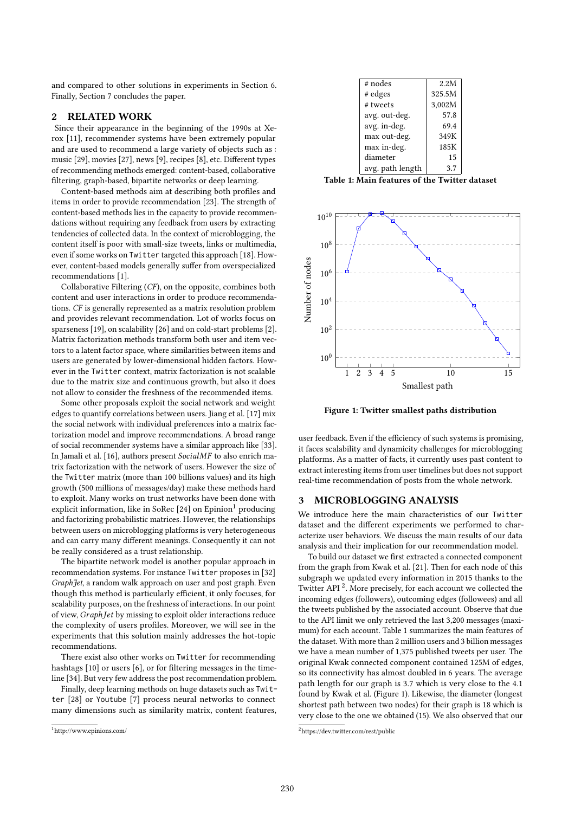and compared to other solutions in experiments in Section 6. Finally, Section 7 concludes the paper.

### 2 RELATED WORK

Since their appearance in the beginning of the 1990s at Xerox [11], recommender systems have been extremely popular and are used to recommend a large variety of objects such as : music [29], movies [27], news [9], recipes [8], etc. Different types of recommending methods emerged: content-based, collaborative filtering, graph-based, bipartite networks or deep learning.

Content-based methods aim at describing both profiles and items in order to provide recommendation [23]. The strength of content-based methods lies in the capacity to provide recommendations without requiring any feedback from users by extracting tendencies of collected data. In the context of microblogging, the content itself is poor with small-size tweets, links or multimedia, even if some works on Twitter targeted this approach [18]. However, content-based models generally suffer from overspecialized recommendations [1].

Collaborative Filtering (CF), on the opposite, combines both content and user interactions in order to produce recommendations. CF is generally represented as a matrix resolution problem and provides relevant recommendation. Lot of works focus on sparseness [19], on scalability [26] and on cold-start problems [2]. Matrix factorization methods transform both user and item vectors to a latent factor space, where similarities between items and users are generated by lower-dimensional hidden factors. However in the Twitter context, matrix factorization is not scalable due to the matrix size and continuous growth, but also it does not allow to consider the freshness of the recommended items.

Some other proposals exploit the social network and weight edges to quantify correlations between users. Jiang et al. [17] mix the social network with individual preferences into a matrix factorization model and improve recommendations. A broad range of social recommender systems have a similar approach like [33]. In Jamali et al. [16], authors present SocialMF to also enrich matrix factorization with the network of users. However the size of the Twitter matrix (more than 100 billions values) and its high growth (500 millions of messages/day) make these methods hard to exploit. Many works on trust networks have been done with explicit information, like in SoRec  $[24]$  on Epinion<sup>1</sup> producing and factorizing probabilistic matrices. However, the relationships between users on microblogging platforms is very heterogeneous and can carry many different meanings. Consequently it can not be really considered as a trust relationship.

The bipartite network model is another popular approach in recommendation systems. For instance Twitter proposes in [32] GraphJet, a random walk approach on user and post graph. Even though this method is particularly efficient, it only focuses, for scalability purposes, on the freshness of interactions. In our point of view, GraphJet by missing to exploit older interactions reduce the complexity of users profiles. Moreover, we will see in the experiments that this solution mainly addresses the hot-topic recommendations.

There exist also other works on Twitter for recommending hashtags [10] or users [6], or for filtering messages in the timeline [34]. But very few address the post recommendation problem.

Finally, deep learning methods on huge datasets such as Twitter [28] or Youtube [7] process neural networks to connect many dimensions such as similarity matrix, content features,

| # nodes          | 2.2M   |
|------------------|--------|
| # edges          | 325.5M |
| # tweets         | 3,002M |
| avg. out-deg.    | 57.8   |
| avg. in-deg.     | 69.4   |
| max out-deg.     | 349K   |
| max in-deg.      | 185K   |
| diameter         | 15     |
| avg. path length | 3.7    |

Table 1: Main features of the Twitter dataset



Figure 1: Twitter smallest paths distribution

user feedback. Even if the efficiency of such systems is promising, it faces scalability and dynamicity challenges for microblogging platforms. As a matter of facts, it currently uses past content to extract interesting items from user timelines but does not support real-time recommendation of posts from the whole network.

#### 3 MICROBLOGGING ANALYSIS

We introduce here the main characteristics of our Twitter dataset and the different experiments we performed to characterize user behaviors. We discuss the main results of our data analysis and their implication for our recommendation model.

To build our dataset we first extracted a connected component from the graph from Kwak et al. [21]. Then for each node of this subgraph we updated every information in 2015 thanks to the Twitter API<sup>2</sup>. More precisely, for each account we collected the incoming edges (followers), outcoming edges (followees) and all the tweets published by the associated account. Observe that due to the API limit we only retrieved the last 3,200 messages (maximum) for each account. Table 1 summarizes the main features of the dataset. With more than 2 million users and 3 billion messages we have a mean number of 1,375 published tweets per user. The original Kwak connected component contained 125M of edges, so its connectivity has almost doubled in 6 years. The average path length for our graph is 3.7 which is very close to the 4.1 found by Kwak et al. (Figure 1). Likewise, the diameter (longest shortest path between two nodes) for their graph is 18 which is very close to the one we obtained (15). We also observed that our

<sup>1</sup>http://www.epinions.com/

<sup>2</sup>https://dev.twitter.com/rest/public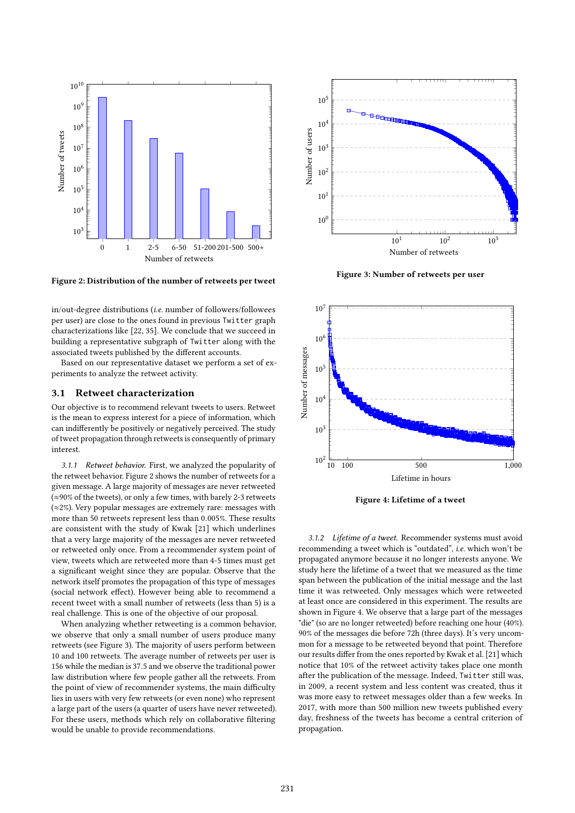

Figure 2: Distribution of the number of retweets per tweet

in/out-degree distributions (i.e. number of followers/followees per user) are close to the ones found in previous Twitter graph characterizations like [22, 35]. We conclude that we succeed in building a representative subgraph of Twitter along with the associated tweets published by the different accounts.

Based on our representative dataset we perform a set of experiments to analyze the retweet activity.

#### 3.1 Retweet characterization

Our objective is to recommend relevant tweets to users. Retweet is the mean to express interest for a piece of information, which can indifferently be positively or negatively perceived. The study of tweet propagation through retweets is consequently of primary interest.

3.1.1 Retweet behavior. First, we analyzed the popularity of the retweet behavior. Figure 2 shows the number of retweets for a given message. A large majority of messages are never retweeted (≈90% of the tweets), or only a few times, with barely 2-3 retweets (≈2%). Very popular messages are extremely rare: messages with more than 50 retweets represent less than <sup>0</sup>.005%. These results are consistent with the study of Kwak [21] which underlines that a very large majority of the messages are never retweeted or retweeted only once. From a recommender system point of view, tweets which are retweeted more than 4-5 times must get a significant weight since they are popular. Observe that the network itself promotes the propagation of this type of messages (social network effect). However being able to recommend a recent tweet with a small number of retweets (less than 5) is a real challenge. This is one of the objective of our proposal.

When analyzing whether retweeting is a common behavior, we observe that only a small number of users produce many retweets (see Figure 3). The majority of users perform between 10 and 100 retweets. The average number of retweets per user is <sup>156</sup> while the median is <sup>37</sup>.<sup>5</sup> and we observe the traditional power law distribution where few people gather all the retweets. From the point of view of recommender systems, the main difficulty lies in users with very few retweets (or even none) who represent a large part of the users (a quarter of users have never retweeted). For these users, methods which rely on collaborative filtering would be unable to provide recommendations.



Figure 3: Number of retweets per user



Figure 4: Lifetime of a tweet

3.1.2 Lifetime of a tweet. Recommender systems must avoid recommending a tweet which is "outdated", i.e. which won't be propagated anymore because it no longer interests anyone. We study here the lifetime of a tweet that we measured as the time span between the publication of the initial message and the last time it was retweeted. Only messages which were retweeted at least once are considered in this experiment. The results are shown in Figure 4. We observe that a large part of the messages "die" (so are no longer retweeted) before reaching one hour (40%). 90% of the messages die before 72h (three days). It's very uncommon for a message to be retweeted beyond that point. Therefore our results differ from the ones reported by Kwak et al. [21] which notice that 10% of the retweet activity takes place one month after the publication of the message. Indeed, Twitter still was, in 2009, a recent system and less content was created, thus it was more easy to retweet messages older than a few weeks. In 2017, with more than 500 million new tweets published every day, freshness of the tweets has become a central criterion of propagation.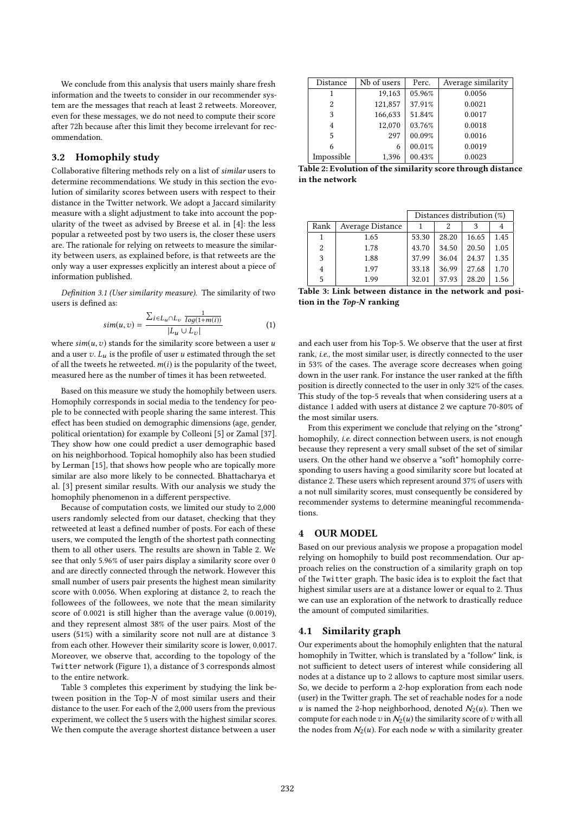We conclude from this analysis that users mainly share fresh information and the tweets to consider in our recommender system are the messages that reach at least 2 retweets. Moreover, even for these messages, we do not need to compute their score after 72h because after this limit they become irrelevant for recommendation.

# 3.2 Homophily study

Collaborative filtering methods rely on a list of similar users to determine recommendations. We study in this section the evolution of similarity scores between users with respect to their distance in the Twitter network. We adopt a Jaccard similarity measure with a slight adjustment to take into account the popularity of the tweet as advised by Breese et al. in [4]: the less popular a retweeted post by two users is, the closer these users are. The rationale for relying on retweets to measure the similarity between users, as explained before, is that retweets are the only way a user expresses explicitly an interest about a piece of information published.

Definition 3.1 (User similarity measure). The similarity of two users is defined as:

$$
sim(u, v) = \frac{\sum_{i \in L_u \cap L_v} \frac{1}{log(1 + m(i))}}{|L_u \cup L_v|}
$$
(1)

where  $sim(u, v)$  stands for the similarity score between a user u<br>and a user  $v, I$  is the profile of user u estimated through the set and a user  $v$ .  $L_u$  is the profile of user u estimated through the set of all the tweets he retweeted.  $m(i)$  is the popularity of the tweet, measured here as the number of times it has been retweeted.

Based on this measure we study the homophily between users. Homophily corresponds in social media to the tendency for people to be connected with people sharing the same interest. This effect has been studied on demographic dimensions (age, gender, political orientation) for example by Colleoni [5] or Zamal [37]. They show how one could predict a user demographic based on his neighborhood. Topical homophily also has been studied by Lerman [15], that shows how people who are topically more similar are also more likely to be connected. Bhattacharya et al. [3] present similar results. With our analysis we study the homophily phenomenon in a different perspective.

Because of computation costs, we limited our study to 2,000 users randomly selected from our dataset, checking that they retweeted at least a defined number of posts. For each of these users, we computed the length of the shortest path connecting them to all other users. The results are shown in Table 2. We see that only 5.96% of user pairs display a similarity score over 0 and are directly connected through the network. However this small number of users pair presents the highest mean similarity score with 0.0056. When exploring at distance 2, to reach the followees of the followees, we note that the mean similarity score of 0.0021 is still higher than the average value (0.0019), and they represent almost 38% of the user pairs. Most of the users (51%) with a similarity score not null are at distance 3 from each other. However their similarity score is lower, 0.0017. Moreover, we observe that, according to the topology of the Twitter network (Figure 1), a distance of 3 corresponds almost to the entire network.

Table 3 completes this experiment by studying the link between position in the Top-N of most similar users and their distance to the user. For each of the 2,000 users from the previous experiment, we collect the 5 users with the highest similar scores. We then compute the average shortest distance between a user

| Distance   | Nb of users | Perc.  | Average similarity |
|------------|-------------|--------|--------------------|
|            | 19,163      | 05.96% | 0.0056             |
| 2          | 121,857     | 37.91% | 0.0021             |
| 3          | 166,633     | 51.84% | 0.0017             |
| 4          | 12,070      | 03.76% | 0.0018             |
| 5          | 297         | 00.09% | 0.0016             |
|            | 6           | 00.01% | 0.0019             |
| Impossible | 1.396       | 00.43% | 0.0023             |

Table 2: Evolution of the similarity score through distance in the network

|      |                  | Distances distribution (%) |       |       |      |
|------|------------------|----------------------------|-------|-------|------|
| Rank | Average Distance |                            |       |       |      |
|      | 1.65             | 53.30                      | 28.20 | 16.65 | 1.45 |
| 2    | 1.78             | 43.70                      | 34.50 | 20.50 | 1.05 |
| 3    | 1.88             | 37.99                      | 36.04 | 24.37 | 1.35 |
| 4    | 1.97             | 33.18                      | 36.99 | 27.68 | 1.70 |
| 5    | 1.99             | 32.01                      | 37.93 | 28.20 | 1.56 |

Table 3: Link between distance in the network and position in the Top-N ranking

and each user from his Top-5. We observe that the user at first rank, i.e., the most similar user, is directly connected to the user in 53% of the cases. The average score decreases when going down in the user rank. For instance the user ranked at the fifth position is directly connected to the user in only 32% of the cases. This study of the top-5 reveals that when considering users at a distance 1 added with users at distance 2 we capture 70-80% of the most similar users.

From this experiment we conclude that relying on the "strong" homophily, i.e. direct connection between users, is not enough because they represent a very small subset of the set of similar users. On the other hand we observe a "soft" homophily corresponding to users having a good similarity score but located at distance 2. These users which represent around 37% of users with a not null similarity scores, must consequently be considered by recommender systems to determine meaningful recommendations.

# 4 OUR MODEL

Based on our previous analysis we propose a propagation model relying on homophily to build post recommendation. Our approach relies on the construction of a similarity graph on top of the Twitter graph. The basic idea is to exploit the fact that highest similar users are at a distance lower or equal to 2. Thus we can use an exploration of the network to drastically reduce the amount of computed similarities.

#### 4.1 Similarity graph

Our experiments about the homophily enlighten that the natural homophily in Twitter, which is translated by a "follow" link, is not sufficient to detect users of interest while considering all nodes at a distance up to 2 allows to capture most similar users. So, we decide to perform a 2-hop exploration from each node (user) in the Twitter graph. The set of reachable nodes for a node u is named the 2-hop neighborhood, denoted  $N_2(u)$ . Then we compute for each node v in  $\mathcal{N}_2(u)$  the similarity score of v with all the nodes from  $\mathcal{N}_2(u)$ . For each node w with a similarity greater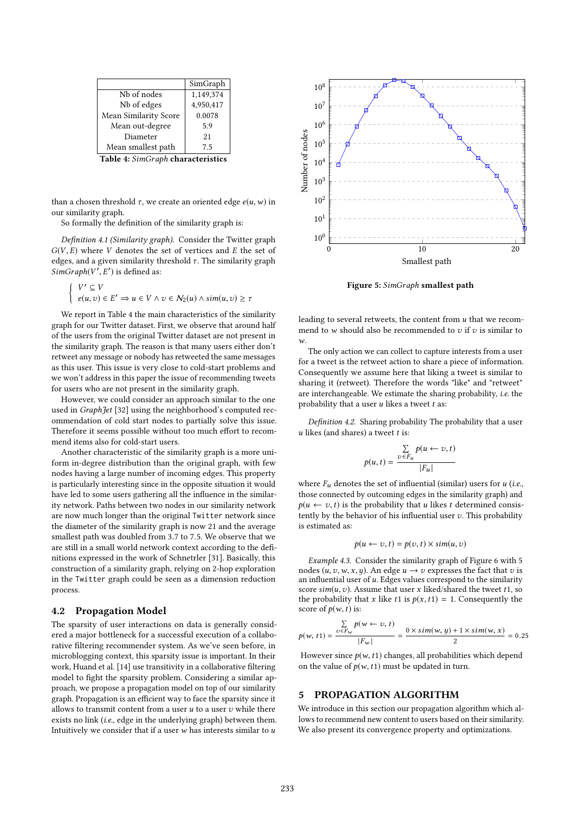| SimGraph  |
|-----------|
| 1,149,374 |
| 4,950,417 |
| 0.0078    |
| 5.9       |
| 21        |
| 7.5       |
|           |

Table 4: SimGraph characteristics

than a chosen threshold  $\tau$ , we create an oriented edge  $e(u, w)$  in our similarity graph.

So formally the definition of the similarity graph is:

Definition 4.1 (Similarity graph). Consider the Twitter graph  $G(V, E)$  where V denotes the set of vertices and E the set of edges, and a given similarity threshold  $\tau$ . The similarity graph SimGraph(V ′  $\mathbb{Z}$ ′ ) is defined as:

$$
\begin{cases} V' \subseteq V \\ e(u,v) \in E' \implies u \in V \land v \in N_2(u) \land sim(u,v) \ge \tau \end{cases}
$$

We report in Table 4 the main characteristics of the similarity graph for our Twitter dataset. First, we observe that around half of the users from the original Twitter dataset are not present in the similarity graph. The reason is that many users either don't retweet any message or nobody has retweeted the same messages as this user. This issue is very close to cold-start problems and we won't address in this paper the issue of recommending tweets for users who are not present in the similarity graph.

However, we could consider an approach similar to the one used in GraphJet [32] using the neighborhood's computed recommendation of cold start nodes to partially solve this issue. Therefore it seems possible without too much effort to recommend items also for cold-start users.

Another characteristic of the similarity graph is a more uniform in-degree distribution than the original graph, with few nodes having a large number of incoming edges. This property is particularly interesting since in the opposite situation it would have led to some users gathering all the influence in the similarity network. Paths between two nodes in our similarity network are now much longer than the original Twitter network since the diameter of the similarity graph is now 21 and the average smallest path was doubled from <sup>3</sup>.<sup>7</sup> to <sup>7</sup>.5. We observe that we are still in a small world network context according to the definitions expressed in the work of Schnetrler [31]. Basically, this construction of a similarity graph, relying on 2-hop exploration in the Twitter graph could be seen as a dimension reduction process.

#### 4.2 Propagation Model

The sparsity of user interactions on data is generally considered a major bottleneck for a successful execution of a collaborative filtering recommender system. As we've seen before, in microblogging context, this sparsity issue is important. In their work, Huand et al. [14] use transitivity in a collaborative filtering model to fight the sparsity problem. Considering a similar approach, we propose a propagation model on top of our similarity graph. Propagation is an efficient way to face the sparsity since it allows to transmit content from a user  $u$  to a user  $v$  while there exists no link (i.e., edge in the underlying graph) between them. Intuitively we consider that if a user  $w$  has interests similar to  $u$ 



Figure 5: SimGraph smallest path

leading to several retweets, the content from  $u$  that we recommend to  $w$  should also be recommended to  $v$  if  $v$  is similar to  $w$ 

The only action we can collect to capture interests from a user for a tweet is the retweet action to share a piece of information. Consequently we assume here that liking a tweet is similar to sharing it (retweet). Therefore the words "like" and "retweet" are interchangeable. We estimate the sharing probability, i.e. the probability that a user  $u$  likes a tweet  $t$  as:

Definition 4.2. Sharing probability The probability that a user  $u$  likes (and shares) a tweet  $t$  is:

$$
p(u,t) = \frac{\sum\limits_{v \in F_u} p(u \leftarrow v, t)}{|F_u|}
$$

where  $F_u$  denotes the set of influential (similar) users for  $u$  (i.e., those connected by outcoming edges in the similarity graph) and  $p(u \leftarrow v, t)$  is the probability that u likes t determined consistently by the behavior of his influential user  $v$ . This probability is estimated as:

$$
p(u \leftarrow v, t) = p(v, t) \times sim(u, v)
$$

Example 4.3. Consider the similarity graph of Figure 6 with 5 nodes  $(u, v, w, x, y)$ . An edge  $u \rightarrow v$  expresses the fact that v is an influential user of  $u$ . Edges values correspond to the similarity score  $sim(u, v)$ . Assume that user x liked/shared the tweet t1, so the probability that x like t1 is  $p(x, t1) = 1$ . Consequently the score of  $p(w, t)$  is:

$$
p(w, t1) = \frac{\sum_{v \in F_w} p(w \leftarrow v, t)}{|F_w|} = \frac{0 \times \text{sim}(w, y) + 1 \times \text{sim}(w, x)}{2} = 0.25
$$

However since  $p(w, t1)$  changes, all probabilities which depend on the value of  $p(w, t1)$  must be updated in turn.

## 5 PROPAGATION ALGORITHM

We introduce in this section our propagation algorithm which allows to recommend new content to users based on their similarity. We also present its convergence property and optimizations.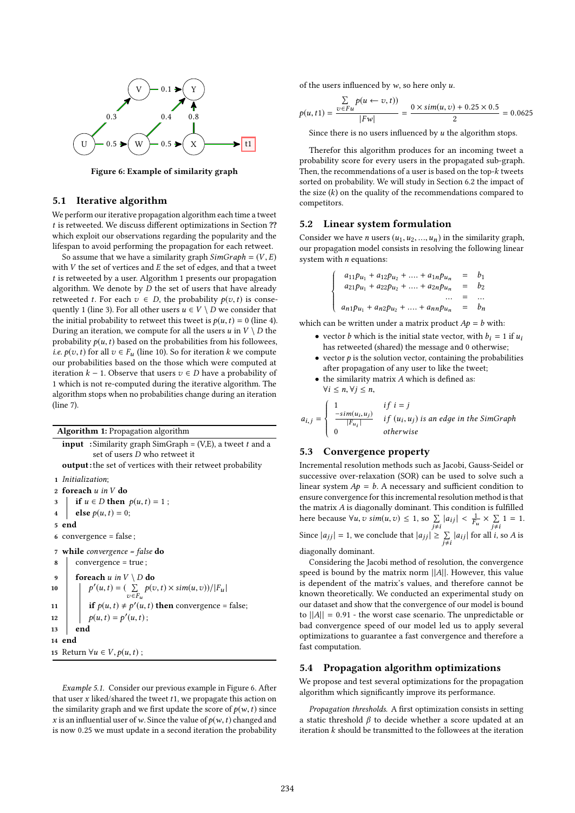

Figure 6: Example of similarity graph

#### 5.1 Iterative algorithm

We perform our iterative propagation algorithm each time a tweet t is retweeted. We discuss different optimizations in Section ?? which exploit our observations regarding the popularity and the lifespan to avoid performing the propagation for each retweet.

So assume that we have a similarity graph  $SimGraph = (V, E)$ with  $V$  the set of vertices and  $E$  the set of edges, and that a tweet t is retweeted by a user. Algorithm 1 presents our propagation algorithm. We denote by  $D$  the set of users that have already retweeted t. For each  $v \in D$ , the probability  $p(v, t)$  is consequently 1 (line 3). For all other users  $u \in V \setminus D$  we consider that the initial probability to retweet this tweet is  $p(u, t) = 0$  (line 4). During an iteration, we compute for all the users  $u$  in  $V \setminus D$  the probability  $p(u, t)$  based on the probabilities from his followees, *i.e.*  $p(v, t)$  for all  $v \in F_u$  (line 10). So for iteration k we compute our probabilities based on the those which were computed at iteration  $k − 1$ . Observe that users  $v ∈ D$  have a probability of 1 which is not re-computed during the iterative algorithm. The algorithm stops when no probabilities change during an iteration (line 7).

Algorithm 1: Propagation algorithm

**input** : Similarity graph SimGraph =  $(V,E)$ , a tweet t and a set of users D who retweet it output: the set of vertices with their retweet probability 1 Initialization; 2 foreach  $u$  in  $V$  do<br>3 | if  $u \in D$  then 3 if  $u \in D$  then  $p(u, t) = 1$ ;<br>4 else  $p(u, t) = 0$ ; else  $p(u, t) = 0$ ; 5 end 6 convergence = false ; 7 while convergence = false do  $\vert$  convergence = true; 9 foreach u in  $V \setminus D$  do 10  $\begin{array}{|c|c|} \hline \end{array}$   $p'(u,t) = (\sum\limits_{v \in F}$  $\sum_{v \in F_u} p(v,t) \times sim(u,v) / |F_u|$ 11 if  $p(u,t) \neq p'(u,t)$  then convergence = false; 12  $p(u, t) = p'(u, t);$  $13$  end 14 end 15 Return  $\forall u \in V, p(u, t)$ ;

Example 5.1. Consider our previous example in Figure 6. After that user  $x$  liked/shared the tweet  $t1$ , we propagate this action on the similarity graph and we first update the score of  $p(w, t)$  since x is an influential user of w. Since the value of  $p(w, t)$  changed and is now <sup>0</sup>.<sup>25</sup> we must update in a second iteration the probability of the users influenced by  $w$ , so here only  $u$ .

$$
p(u,t1) = \frac{\sum\limits_{v \in Fu} p(u \leftarrow v,t))}{|Fw|} = \frac{0 \times \text{sim}(u,v) + 0.25 \times 0.5}{2} = 0.0625
$$

Since there is no users influenced by  $u$  the algorithm stops.

Therefor this algorithm produces for an incoming tweet a probability score for every users in the propagated sub-graph. Then, the recommendations of a user is based on the top- $k$  tweets sorted on probability. We will study in Section 6.2 the impact of the size  $(k)$  on the quality of the recommendations compared to competitors.

#### 5.2 Linear system formulation

 $\Bigg\}$ 

 $\overline{\mathcal{L}}$ 

Consider we have *n* users  $(u_1, u_2, ..., u_n)$  in the similarity graph, our propagation model consists in resolving the following linear system with  $n$  equations:

$$
a_{11}p_{u_1} + a_{12}p_{u_2} + \dots + a_{1n}p_{u_n} = b_1
$$
  
\n
$$
a_{21}p_{u_1} + a_{22}p_{u_2} + \dots + a_{2n}p_{u_n} = b_2
$$
  
\n
$$
\dots = \dots
$$
  
\n
$$
a_{n1}p_{u_1} + a_{n2}p_{u_2} + \dots + a_{nn}p_{u_n} = b_n
$$

which can be written under a matrix product  $Ap = b$  with:

- vector *b* which is the initial state vector, with  $b_i = 1$  if  $u_i$ has retweeted (shared) the message and 0 otherwise;
- vector  $p$  is the solution vector, containing the probabilities after propagation of any user to like the tweet;
- $\bullet$  the similarity matrix  $A$  which is defined as:  $\forall i \leq n, \forall j \leq n,$

$$
a_{i,j} = \begin{cases} 1 & \text{if } i = j \\ \frac{-\text{sim}(u_i, u_j)}{|F_{u_i}|} & \text{if } (u_i, u_j) \text{ is an edge in the SimGraph} \\ 0 & \text{otherwise} \end{cases}
$$

### 5.3 Convergence property

Incremental resolution methods such as Jacobi, Gauss-Seidel or successive over-relaxation (SOR) can be used to solve such a linear system  $Ap = b$ . A necessary and sufficient condition to ensure convergence for this incremental resolution method is that the matrix A is diagonally dominant. This condition is fulfilled here because  $\forall u, v \, \text{sim}(u, v) \leq 1$ , so  $\sum_{j \neq i} |a_{ij}| < \frac{1}{F_i}$ <br>Since  $|a_{11}| = 1$ , we conclude that  $|a_{11}| > \sum_{j \neq i} |a_{ij}|$  for Fu  $\times \sum_{j \neq i} 1 = 1.$ Since  $|a_{jj}| = 1$ , we conclude that  $|a_{jj}| \ge \sum_{j \ne i} |a_{ij}|$  for all *i*, so *A* is diagonally dominant.

diagonally dominant.

Considering the Jacobi method of resolution, the convergence speed is bound by the matrix norm  $||A||$ . However, this value is dependent of the matrix's values, and therefore cannot be known theoretically. We conducted an experimental study on our dataset and show that the convergence of our model is bound to  $||A|| = 0.91$  - the worst case scenario. The unpredictable or bad convergence speed of our model led us to apply several optimizations to guarantee a fast convergence and therefore a fast computation.

#### 5.4 Propagation algorithm optimizations

We propose and test several optimizations for the propagation algorithm which significantly improve its performance.

Propagation thresholds. A first optimization consists in setting a static threshold  $β$  to decide whether a score updated at an iteration k should be transmitted to the followees at the iteration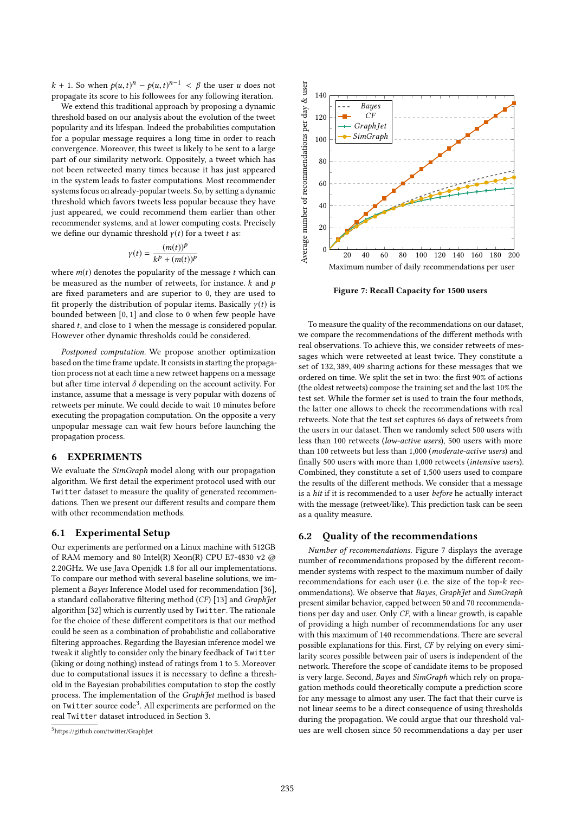k + 1. So when  $p(u, t)^n - p(u, t)^{n-1} < \beta$  the user u does not proposed its score to his followes for any following iteration propagate its score to his followees for any following iteration.

We extend this traditional approach by proposing a dynamic threshold based on our analysis about the evolution of the tweet popularity and its lifespan. Indeed the probabilities computation for a popular message requires a long time in order to reach convergence. Moreover, this tweet is likely to be sent to a large part of our similarity network. Oppositely, a tweet which has not been retweeted many times because it has just appeared in the system leads to faster computations. Most recommender systems focus on already-popular tweets. So, by setting a dynamic threshold which favors tweets less popular because they have just appeared, we could recommend them earlier than other recommender systems, and at lower computing costs. Precisely we define our dynamic threshold  $y(t)$  for a tweet t as:

$$
\gamma(t) = \frac{(m(t))^p}{k^p + (m(t))^p}
$$

where  $m(t)$  denotes the popularity of the message t which can<br>be measured as the number of retweets for instance k and n be measured as the number of retweets, for instance.  $k$  and  $p$ are fixed parameters and are superior to 0, they are used to fit properly the distribution of popular items. Basically  $\gamma(t)$  is bounded between [0, <sup>1</sup>] and close to <sup>0</sup> when few people have shared t, and close to 1 when the message is considered popular. However other dynamic thresholds could be considered.

Postponed computation. We propose another optimization based on the time frame update. It consists in starting the propagation process not at each time a new retweet happens on a message but after time interval  $\delta$  depending on the account activity. For instance, assume that a message is very popular with dozens of retweets per minute. We could decide to wait 10 minutes before executing the propagation computation. On the opposite a very unpopular message can wait few hours before launching the propagation process.

#### 6 EXPERIMENTS

We evaluate the SimGraph model along with our propagation algorithm. We first detail the experiment protocol used with our Twitter dataset to measure the quality of generated recommendations. Then we present our different results and compare them with other recommendation methods.

#### 6.1 Experimental Setup

Our experiments are performed on a Linux machine with 512GB of RAM memory and 80 Intel(R) Xeon(R) CPU E7-4830 v2 @ 2.20GHz. We use Java Openjdk 1.8 for all our implementations. To compare our method with several baseline solutions, we implement a Bayes Inference Model used for recommendation [36], a standard collaborative filtering method (CF) [13] and GraphJet algorithm [32] which is currently used by Twitter. The rationale for the choice of these different competitors is that our method could be seen as a combination of probabilistic and collaborative filtering approaches. Regarding the Bayesian inference model we tweak it slightly to consider only the binary feedback of Twitter (liking or doing nothing) instead of ratings from 1 to 5. Moreover due to computational issues it is necessary to define a threshold in the Bayesian probabilities computation to stop the costly process. The implementation of the GraphJet method is based on Twitter source code<sup>3</sup>. All experiments are performed on the real Twitter dataset introduced in Section 3.



Figure 7: Recall Capacity for 1500 users

To measure the quality of the recommendations on our dataset, we compare the recommendations of the different methods with real observations. To achieve this, we consider retweets of messages which were retweeted at least twice. They constitute a set of <sup>132</sup>, <sup>389</sup>, <sup>409</sup> sharing actions for these messages that we ordered on time. We split the set in two: the first 90% of actions (the oldest retweets) compose the training set and the last 10% the test set. While the former set is used to train the four methods, the latter one allows to check the recommendations with real retweets. Note that the test set captures 66 days of retweets from the users in our dataset. Then we randomly select 500 users with less than 100 retweets (low-active users), 500 users with more than 100 retweets but less than 1,000 (moderate-active users) and finally 500 users with more than 1,000 retweets (intensive users). Combined, they constitute a set of 1,500 users used to compare the results of the different methods. We consider that a message is a hit if it is recommended to a user before he actually interact with the message (retweet/like). This prediction task can be seen as a quality measure.

#### 6.2 Quality of the recommendations

Number of recommendations. Figure 7 displays the average number of recommendations proposed by the different recommender systems with respect to the maximum number of daily recommendations for each user (i.e. the size of the top-k recommendations). We observe that Bayes, GraphJet and SimGraph present similar behavior, capped between 50 and 70 recommendations per day and user. Only CF, with a linear growth, is capable of providing a high number of recommendations for any user with this maximum of 140 recommendations. There are several possible explanations for this. First, CF by relying on every similarity scores possible between pair of users is independent of the network. Therefore the scope of candidate items to be proposed is very large. Second, Bayes and SimGraph which rely on propagation methods could theoretically compute a prediction score for any message to almost any user. The fact that their curve is not linear seems to be a direct consequence of using thresholds during the propagation. We could argue that our threshold values are well chosen since 50 recommendations a day per user

<sup>3</sup>https://github.com/twitter/GraphJet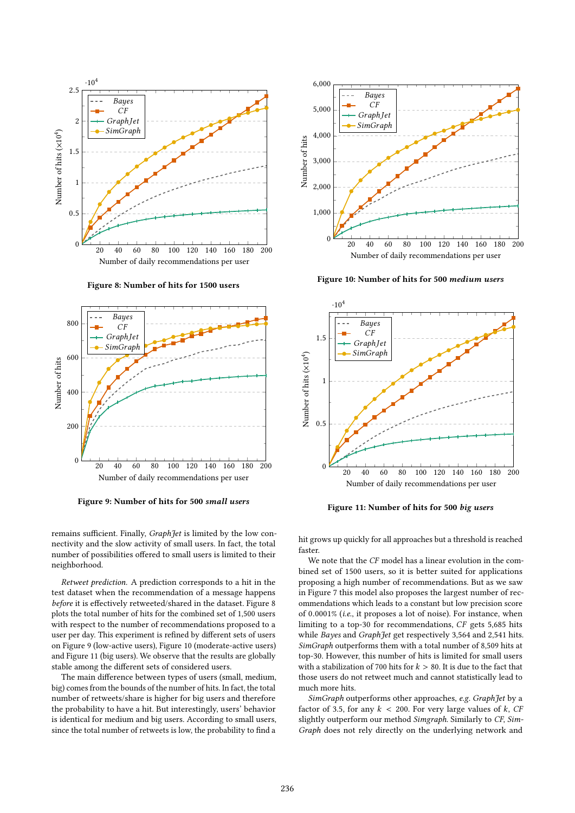

Figure 8: Number of hits for 1500 users



Figure 9: Number of hits for 500 small users

remains sufficient. Finally, GraphJet is limited by the low connectivity and the slow activity of small users. In fact, the total number of possibilities offered to small users is limited to their neighborhood.

Retweet prediction. A prediction corresponds to a hit in the test dataset when the recommendation of a message happens before it is effectively retweeted/shared in the dataset. Figure 8 plots the total number of hits for the combined set of 1,500 users with respect to the number of recommendations proposed to a user per day. This experiment is refined by different sets of users on Figure 9 (low-active users), Figure 10 (moderate-active users) and Figure 11 (big users). We observe that the results are globally stable among the different sets of considered users.

The main difference between types of users (small, medium, big) comes from the bounds of the number of hits. In fact, the total number of retweets/share is higher for big users and therefore the probability to have a hit. But interestingly, users' behavior is identical for medium and big users. According to small users, since the total number of retweets is low, the probability to find a



Figure 10: Number of hits for 500 medium users



Figure 11: Number of hits for 500 big users

hit grows up quickly for all approaches but a threshold is reached faster.

We note that the CF model has a linear evolution in the combined set of 1500 users, so it is better suited for applications proposing a high number of recommendations. But as we saw in Figure 7 this model also proposes the largest number of recommendations which leads to a constant but low precision score of <sup>0</sup>.0001% (i.e., it proposes a lot of noise). For instance, when limiting to a top-30 for recommendations, CF gets 5,685 hits while Bayes and GraphJet get respectively 3,564 and 2,541 hits. SimGraph outperforms them with a total number of 8,509 hits at top-30. However, this number of hits is limited for small users with a stabilization of 700 hits for  $k > 80$ . It is due to the fact that those users do not retweet much and cannot statistically lead to much more hits.

SimGraph outperforms other approaches, e.g. GraphJet by a factor of 3.5, for any  $k < 200$ . For very large values of k, CF slightly outperform our method Simgraph. Similarly to CF, Sim-Graph does not rely directly on the underlying network and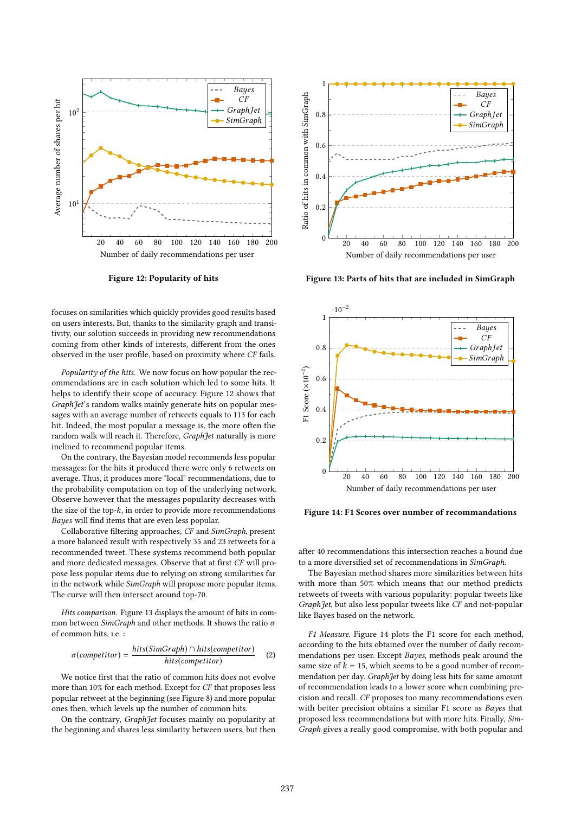

Figure 12: Popularity of hits

focuses on similarities which quickly provides good results based on users interests. But, thanks to the similarity graph and transitivity, our solution succeeds in providing new recommendations coming from other kinds of interests, different from the ones observed in the user profile, based on proximity where CF fails.

Popularity of the hits. We now focus on how popular the recommendations are in each solution which led to some hits. It helps to identify their scope of accuracy. Figure 12 shows that GraphJet's random walks mainly generate hits on popular messages with an average number of retweets equals to 113 for each hit. Indeed, the most popular a message is, the more often the random walk will reach it. Therefore, GraphJet naturally is more inclined to recommend popular items.

On the contrary, the Bayesian model recommends less popular messages: for the hits it produced there were only 6 retweets on average. Thus, it produces more "local" recommendations, due to the probability computation on top of the underlying network. Observe however that the messages popularity decreases with the size of the top- $k$ , in order to provide more recommendations Bayes will find items that are even less popular.

Collaborative filtering approaches, CF and SimGraph, present a more balanced result with respectively 35 and 23 retweets for a recommended tweet. These systems recommend both popular and more dedicated messages. Observe that at first CF will propose less popular items due to relying on strong similarities far in the network while SimGraph will propose more popular items. The curve will then intersect around top-70.

Hits comparison. Figure 13 displays the amount of hits in common between SimGraph and other methods. It shows the ratio  $\sigma$ of common hits, ı.e. :

$$
\sigma(competitor) = \frac{hits(SimGraph) \cap hits(competitor)}{hits(competitor)}
$$
 (2)

We notice first that the ratio of common hits does not evolve more than 10% for each method. Except for CF that proposes less popular retweet at the beginning (see Figure 8) and more popular ones then, which levels up the number of common hits.

On the contrary, GraphJet focuses mainly on popularity at the beginning and shares less similarity between users, but then



Figure 13: Parts of hits that are included in SimGraph



Figure 14: F1 Scores over number of recommandations

after 40 recommendations this intersection reaches a bound due to a more diversified set of recommendations in SimGraph.

The Bayesian method shares more similarities between hits with more than 50% which means that our method predicts retweets of tweets with various popularity: popular tweets like GraphJet, but also less popular tweets like CF and not-popular like Bayes based on the network.

F1 Measure. Figure 14 plots the F1 score for each method, according to the hits obtained over the number of daily recommendations per user. Except Bayes, methods peak around the same size of  $k = 15$ , which seems to be a good number of recommendation per day. GraphJet by doing less hits for same amount of recommendation leads to a lower score when combining precision and recall. CF proposes too many recommendations even with better precision obtains a similar F1 score as Bayes that proposed less recommendations but with more hits. Finally, Sim-Graph gives a really good compromise, with both popular and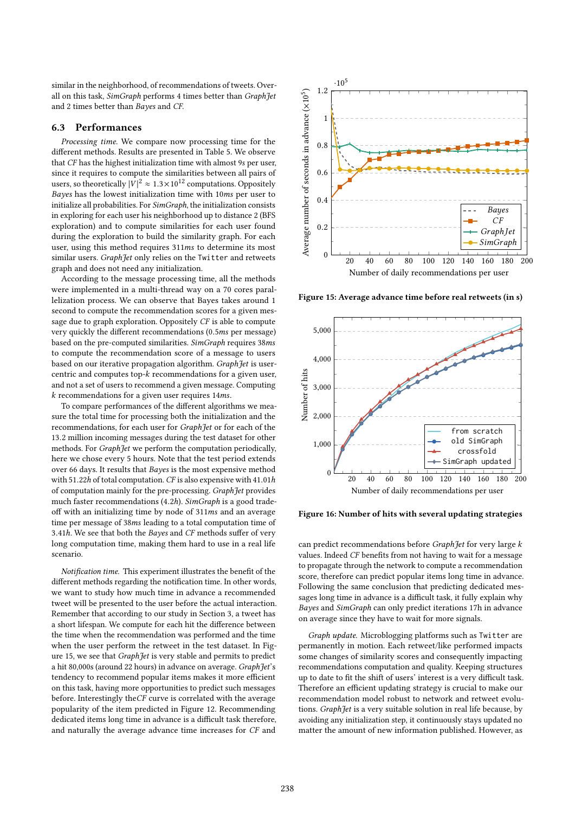similar in the neighborhood, of recommendations of tweets. Overall on this task, SimGraph performs 4 times better than Graph Jet and 2 times better than Bayes and CF.

#### 6.3 Performances

Processing time. We compare now processing time for the different methods. Results are presented in Table 5. We observe that CF has the highest initialization time with almost <sup>9</sup>s per user, since it requires to compute the similarities between all pairs of users, so theoretically  $|V|^2 \approx 1.3 \times 10^{12}$  computations. Oppositely<br>Rayse has the lowest initialization time with 10ms per user to Bayes has the lowest initialization time with <sup>10</sup>ms per user to initialize all probabilities. For SimGraph, the initialization consists in exploring for each user his neighborhood up to distance 2 (BFS exploration) and to compute similarities for each user found during the exploration to build the similarity graph. For each user, using this method requires <sup>311</sup>ms to determine its most similar users. GraphJet only relies on the Twitter and retweets graph and does not need any initialization.

According to the message processing time, all the methods were implemented in a multi-thread way on a 70 cores parallelization process. We can observe that Bayes takes around 1 second to compute the recommendation scores for a given message due to graph exploration. Oppositely CF is able to compute very quickly the different recommendations (0.5ms per message) based on the pre-computed similarities. SimGraph requires <sup>38</sup>ms to compute the recommendation score of a message to users based on our iterative propagation algorithm. GraphJet is usercentric and computes top-k recommendations for a given user, and not a set of users to recommend a given message. Computing k recommendations for a given user requires <sup>14</sup>ms.

To compare performances of the different algorithms we measure the total time for processing both the initialization and the recommendations, for each user for GraphJet or for each of the <sup>13</sup>.<sup>2</sup> million incoming messages during the test dataset for other methods. For GraphJet we perform the computation periodically, here we chose every 5 hours. Note that the test period extends over 66 days. It results that Bayes is the most expensive method with <sup>51</sup>.22h of total computation. CF is also expensive with <sup>41</sup>.01h of computation mainly for the pre-processing. GraphJet provides much faster recommendations (4.2h). SimGraph is a good tradeoff with an initializing time by node of <sup>311</sup>ms and an average time per message of <sup>38</sup>ms leading to a total computation time of <sup>3</sup>.41h. We see that both the Bayes and CF methods suffer of very long computation time, making them hard to use in a real life scenario.

Notification time. This experiment illustrates the benefit of the different methods regarding the notification time. In other words, we want to study how much time in advance a recommended tweet will be presented to the user before the actual interaction. Remember that according to our study in Section 3, a tweet has a short lifespan. We compute for each hit the difference between the time when the recommendation was performed and the time when the user perform the retweet in the test dataset. In Figure 15, we see that *Graph Jet* is very stable and permits to predict a hit 80,000s (around 22 hours) in advance on average. GraphJet's tendency to recommend popular items makes it more efficient on this task, having more opportunities to predict such messages before. Interestingly theCF curve is correlated with the average popularity of the item predicted in Figure 12. Recommending dedicated items long time in advance is a difficult task therefore, and naturally the average advance time increases for CF and



Figure 15: Average advance time before real retweets (in s)



Figure 16: Number of hits with several updating strategies

can predict recommendations before GraphJet for very large k values. Indeed CF benefits from not having to wait for a message to propagate through the network to compute a recommendation score, therefore can predict popular items long time in advance. Following the same conclusion that predicting dedicated messages long time in advance is a difficult task, it fully explain why Bayes and SimGraph can only predict iterations 17h in advance on average since they have to wait for more signals.

Graph update. Microblogging platforms such as Twitter are permanently in motion. Each retweet/like performed impacts some changes of similarity scores and consequently impacting recommendations computation and quality. Keeping structures up to date to fit the shift of users' interest is a very difficult task. Therefore an efficient updating strategy is crucial to make our recommendation model robust to network and retweet evolutions. GraphJet is a very suitable solution in real life because, by avoiding any initialization step, it continuously stays updated no matter the amount of new information published. However, as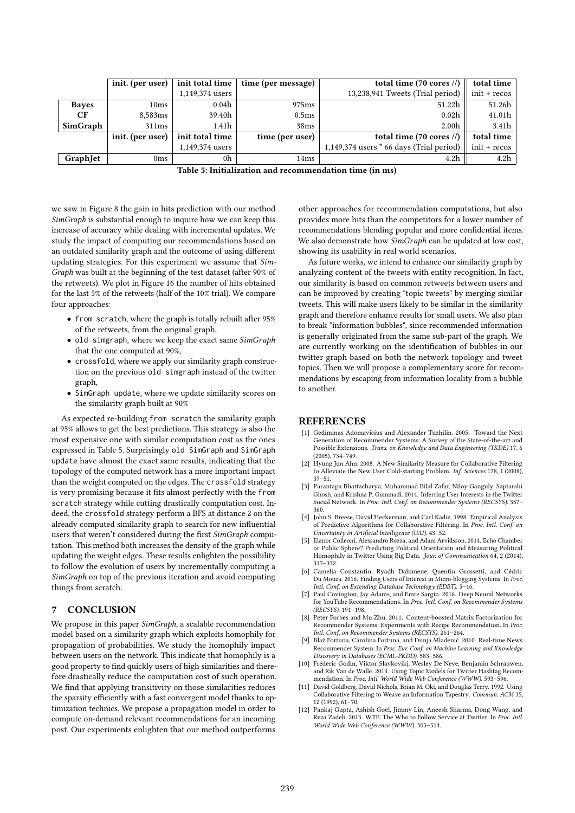|                  | init. (per user) | init total time | time (per message) | total time $(70 \text{ cores }$ $\ell$ ) | total time       |
|------------------|------------------|-----------------|--------------------|------------------------------------------|------------------|
|                  |                  | 1,149,374 users |                    | 13,238,941 Tweets (Trial period)         | init + recos     |
| <b>Bayes</b>     | 10ms             | 0.04h           | 975 <sub>ms</sub>  | 51.22h                                   | 51.26h           |
| CF               | 8,583ms          | 39.40h          | 0.5 <sub>ms</sub>  | 0.02 <sub>h</sub>                        | 41.01h           |
| SimGraph         | 311ms            | 1.41h           | 38ms               | 2.00 <sub>h</sub>                        | 3.41h            |
|                  | init. (per user) | init total time | time (per user)    | total time $(70 \text{ cores }$ $\ell$ ) | total time       |
|                  |                  | 1,149,374 users |                    | 1,149,374 users * 66 days (Trial period) | init + recos     |
| <b>Graph</b> Jet | 0 <sub>ms</sub>  | 0h              | 14ms               | 4.2h                                     | 4.2 <sub>h</sub> |

| Table 5: Initialization and recommendation time (in ms) |  |  |
|---------------------------------------------------------|--|--|
|---------------------------------------------------------|--|--|

we saw in Figure 8 the gain in hits prediction with our method SimGraph is substantial enough to inquire how we can keep this increase of accuracy while dealing with incremental updates. We study the impact of computing our recommendations based on an outdated similarity graph and the outcome of using different updating strategies. For this experiment we assume that Sim-Graph was built at the beginning of the test dataset (after 90% of the retweets). We plot in Figure 16 the number of hits obtained for the last 5% of the retweets (half of the 10% trial). We compare four approaches:

- from scratch, where the graph is totally rebuilt after 95% of the retweets, from the original graph,
- old simgraph, where we keep the exact same SimGraph that the one computed at 90%,
- crossfold, where we apply our similarity graph construction on the previous old simgraph instead of the twitter graph,
- SimGraph update, where we update similarity scores on the similarity graph built at 90%

As expected re-building from scratch the similarity graph at 95% allows to get the best predictions. This strategy is also the most expensive one with similar computation cost as the ones expressed in Table 5. Surprisingly old SimGraph and SimGraph update have almost the exact same results, indicating that the topology of the computed network has a more important impact than the weight computed on the edges. The crossfold strategy is very promising because it fits almost perfectly with the from scratch strategy while cutting drastically computation cost. Indeed, the crossfold strategy perform a BFS at distance 2 on the already computed similarity graph to search for new influential users that weren't considered during the first SimGraph computation. This method both increases the density of the graph while updating the weight edges. These results enlighten the possibility to follow the evolution of users by incrementally computing a SimGraph on top of the previous iteration and avoid computing things from scratch.

## 7 CONCLUSION

We propose in this paper SimGraph, a scalable recommendation model based on a similarity graph which exploits homophily for propagation of probabilities. We study the homophily impact between users on the network. This indicate that homophily is a good property to find quickly users of high similarities and therefore drastically reduce the computation cost of such operation. We find that applying transitivity on those similarities reduces the sparsity efficiently with a fast convergent model thanks to optimization technics. We propose a propagation model in order to compute on-demand relevant recommendations for an incoming post. Our experiments enlighten that our method outperforms

other approaches for recommendation computations, but also provides more hits than the competitors for a lower number of recommendations blending popular and more confidential items. We also demonstrate how SimGraph can be updated at low cost, showing its usability in real world scenarios.

As future works, we intend to enhance our similarity graph by analyzing content of the tweets with entity recognition. In fact, our similarity is based on common retweets between users and can be improved by creating "topic tweets" by merging similar tweets. This will make users likely to be similar in the similarity graph and therefore enhance results for small users. We also plan to break "information bubbles", since recommended information is generally originated from the same sub-part of the graph. We are currently working on the identification of bubbles in our twitter graph based on both the network topology and tweet topics. Then we will propose a complementary score for recommendations by escaping from information locality from a bubble to another.

## **REFERENCES**

- [1] Gediminas Adomavicius and Alexander Tuzhilin. 2005. Toward the Next Generation of Recommender Systems: A Survey of the State-of-the-art and Possible Extensions. Trans. on Knowledge and Data Engineering (TKDE) 17, 6 (2005), 734–749.
- [2] Hyung Jun Ahn. 2008. A New Similarity Measure for Collaborative Filtering to Alleviate the New User Cold-starting Problem. Inf. Sciences 178, 1 (2008), 37–51.
- [3] Parantapa Bhattacharya, Muhammad Bilal Zafar, Niloy Ganguly, Saptarshi Ghosh, and Krishna P. Gummadi. 2014. Inferring User Interests in the Twitter Social Network. In Proc. Intl. Conf. on Recommender Systems (RECSYS). 357– 360.
- [4] John S. Breese, David Heckerman, and Carl Kadie. 1998. Empirical Analysis of Predictive Algorithms for Collaborative Filtering. In Proc. Intl. Conf. on Uncertainty in Artificial Intelligence (UAI). 43–52.
- [5] Elanor Colleoni, Alessandro Rozza, and Adam Arvidsson. 2014. Echo Chamber or Public Sphere? Predicting Political Orientation and Measuring Political Homophily in Twitter Using Big Data. Jour. of Communication 64, 2 (2014), 317–332.
- [6] Camelia Constantin, Ryadh Dahimene, Quentin Grossetti, and Cédric Du Mouza. 2016. Finding Users of Interest in Micro-blogging Systems. In Proc. Intl. Conf. on Extending Database Technology (EDBT). 5–16.
- [7] Paul Covington, Jay Adams, and Emre Sargin. 2016. Deep Neural Networks for YouTube Recommendations. In Proc. Intl. Conf. on Recommender Systems (RECSYS). 191–198.
- Peter Forbes and Mu Zhu. 2011. Content-boosted Matrix Factorization for Recommender Systems: Experiments with Recipe Recommendation. In Proc. Intl. Conf. on Recommender Systems (RECSYS). 261–264.
- [9] Blaž Fortuna, Carolina Fortuna, and Dunja Mladenić. 2010. Real-time News Recommender System. In Proc. Eur. Conf. on Machine Learning and Knowledge Discovery in Databases (ECML-PKDD). 583–586.
- [10] Fréderic Godin, Viktor Slavkovikj, Wesley De Neve, Benjamin Schrauwen, and Rik Van de Walle. 2013. Using Topic Models for Twitter Hashtag Recommendation. In Proc. Intl. World Wide Web Conference (WWW). 593-596.
- [11] David Goldberg, David Nichols, Brian M. Oki, and Douglas Terry. 1992. Using Collaborative Filtering to Weave an Information Tapestry. Commun. ACM 35, 12 (1992), 61–70.
- [12] Pankaj Gupta, Ashish Goel, Jimmy Lin, Aneesh Sharma, Dong Wang, and Reza Zadeh. 2013. WTF: The Who to Follow Service at Twitter. In Proc. Intl. World Wide Web Conference (WWW). 505–514.